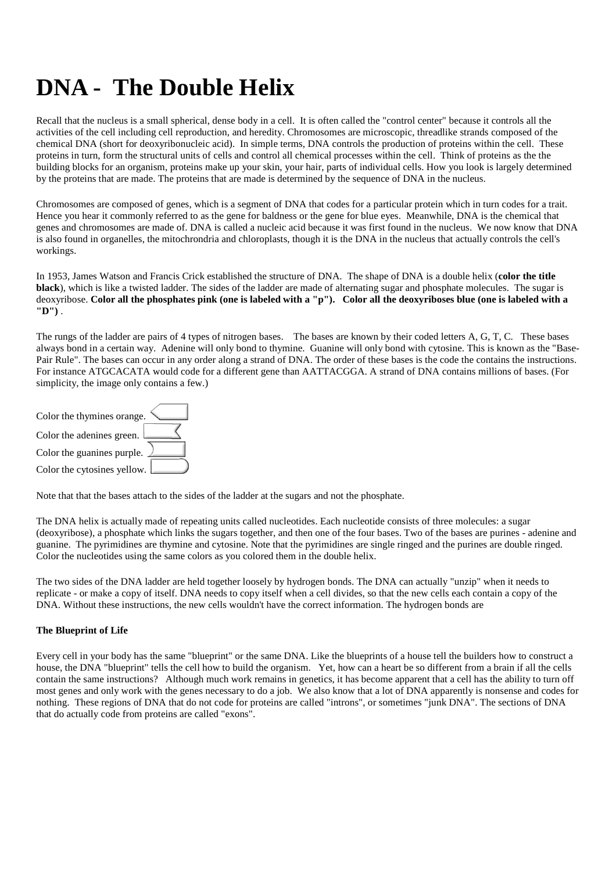# **DNA - The Double Helix**

Recall that the nucleus is a small spherical, dense body in a cell. It is often called the "control center" because it controls all the activities of the cell including cell reproduction, and heredity. Chromosomes are microscopic, threadlike strands composed of the chemical DNA (short for deoxyribonucleic acid). In simple terms, DNA controls the production of proteins within the cell. These proteins in turn, form the structural units of cells and control all chemical processes within the cell. Think of proteins as the the building blocks for an organism, proteins make up your skin, your hair, parts of individual cells. How you look is largely determined by the proteins that are made. The proteins that are made is determined by the sequence of DNA in the nucleus.

Chromosomes are composed of genes, which is a segment of DNA that codes for a particular protein which in turn codes for a trait. Hence you hear it commonly referred to as the gene for baldness or the gene for blue eyes. Meanwhile, DNA is the chemical that genes and chromosomes are made of. DNA is called a nucleic acid because it was first found in the nucleus. We now know that DNA is also found in organelles, the mitochrondria and chloroplasts, though it is the DNA in the nucleus that actually controls the cell's workings.

In 1953, James Watson and Francis Crick established the structure of DNA. The shape of DNA is a double helix (**color the title black**), which is like a twisted ladder. The sides of the ladder are made of alternating sugar and phosphate molecules. The sugar is deoxyribose. **Color all the phosphates pink (one is labeled with a "p"). Color all the deoxyriboses blue (one is labeled with a "D")** .

The rungs of the ladder are pairs of 4 types of nitrogen bases. The bases are known by their coded letters A, G, T, C. These bases always bond in a certain way. Adenine will only bond to thymine. Guanine will only bond with cytosine. This is known as the "Base-Pair Rule". The bases can occur in any order along a strand of DNA. The order of these bases is the code the contains the instructions. For instance ATGCACATA would code for a different gene than AATTACGGA. A strand of DNA contains millions of bases. (For simplicity, the image only contains a few.)



Note that that the bases attach to the sides of the ladder at the sugars and not the phosphate.

The DNA helix is actually made of repeating units called nucleotides. Each nucleotide consists of three molecules: a sugar (deoxyribose), a phosphate which links the sugars together, and then one of the four bases. Two of the bases are purines - adenine and guanine. The pyrimidines are thymine and cytosine. Note that the pyrimidines are single ringed and the purines are double ringed. Color the nucleotides using the same colors as you colored them in the double helix.

The two sides of the DNA ladder are held together loosely by hydrogen bonds. The DNA can actually "unzip" when it needs to replicate - or make a copy of itself. DNA needs to copy itself when a cell divides, so that the new cells each contain a copy of the DNA. Without these instructions, the new cells wouldn't have the correct information. The hydrogen bonds are

#### **The Blueprint of Life**

Every cell in your body has the same "blueprint" or the same DNA. Like the blueprints of a house tell the builders how to construct a house, the DNA "blueprint" tells the cell how to build the organism. Yet, how can a heart be so different from a brain if all the cells contain the same instructions? Although much work remains in genetics, it has become apparent that a cell has the ability to turn off most genes and only work with the genes necessary to do a job. We also know that a lot of DNA apparently is nonsense and codes for nothing. These regions of DNA that do not code for proteins are called "introns", or sometimes "junk DNA". The sections of DNA that do actually code from proteins are called "exons".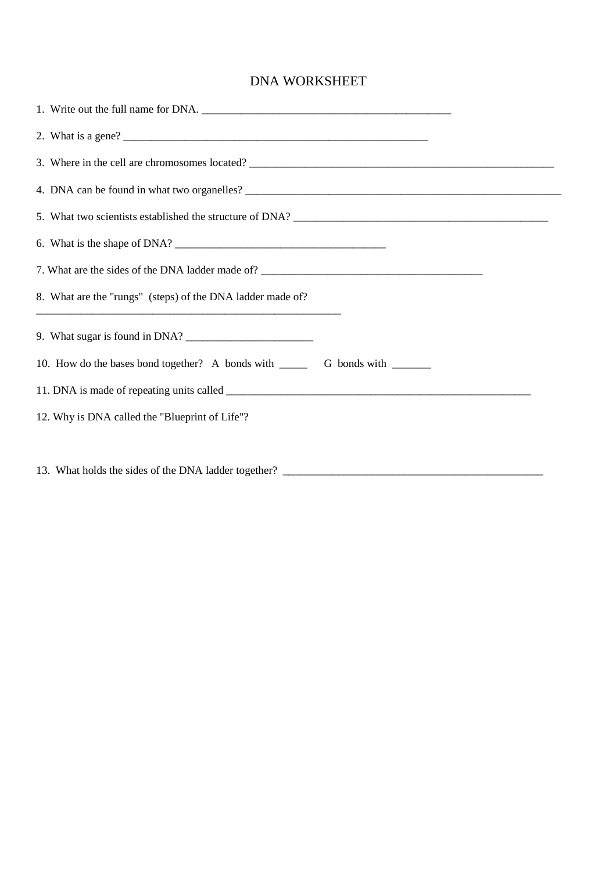### DNA WORKSHEET

| 6. What is the shape of DNA?                                                      |
|-----------------------------------------------------------------------------------|
| 7. What are the sides of the DNA ladder made of? ________________________________ |
| 8. What are the "rungs" (steps) of the DNA ladder made of?                        |
|                                                                                   |
|                                                                                   |
|                                                                                   |
| 12. Why is DNA called the "Blueprint of Life"?                                    |
|                                                                                   |

13. What holds the sides of the DNA ladder together? \_\_\_\_\_\_\_\_\_\_\_\_\_\_\_\_\_\_\_\_\_\_\_\_\_\_\_\_\_\_\_\_\_\_\_\_\_\_\_\_\_\_\_\_\_\_\_